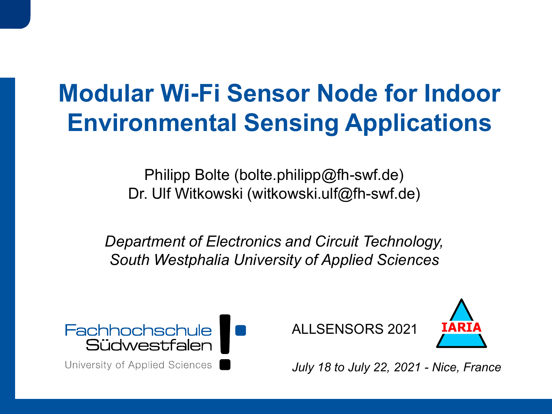# **Modular Wi-Fi Sensor Node for Indoor Environmental Sensing Applications**

Philipp Bolte (bolte.philipp@fh-swf.de) Dr. Ulf Witkowski (witkowski.ulf@fh-swf.de)

*Department of Electronics and Circuit Technology, South Westphalia University of Applied Sciences*



University of Applied Sciences |

ALLSENSORS 2021



*July 18 to July 22, 2021 - Nice, France*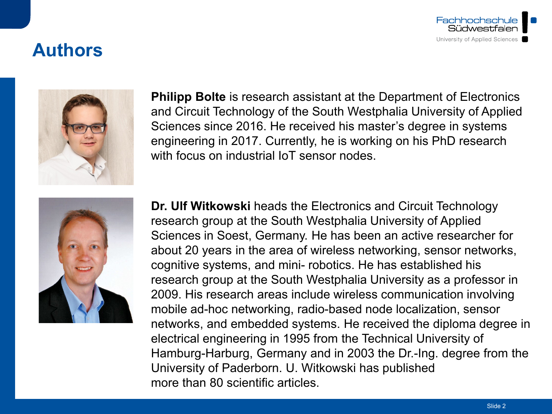

### **Authors**



**Philipp Bolte** is research assistant at the Department of Electronics and Circuit Technology of the South Westphalia University of Applied Sciences since 2016. He received his master's degree in systems engineering in 2017. Currently, he is working on his PhD research with focus on industrial IoT sensor nodes



**Dr. Ulf Witkowski** heads the Electronics and Circuit Technology research group at the South Westphalia University of Applied Sciences in Soest, Germany. He has been an active researcher for about 20 years in the area of wireless networking, sensor networks, cognitive systems, and mini- robotics. He has established his research group at the South Westphalia University as a professor in 2009. His research areas include wireless communication involving mobile ad-hoc networking, radio-based node localization, sensor networks, and embedded systems. He received the diploma degree in electrical engineering in 1995 from the Technical University of Hamburg-Harburg, Germany and in 2003 the Dr.-Ing. degree from the University of Paderborn. U. Witkowski has published more than 80 scientific articles.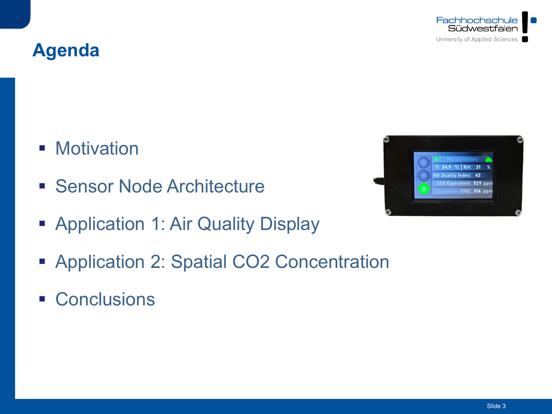





- **Motivation**
- **Sensor Node Architecture**
- **Application 1: Air Quality Display**
- **Application 2: Spatial CO2 Concentration**
- **Conclusions**

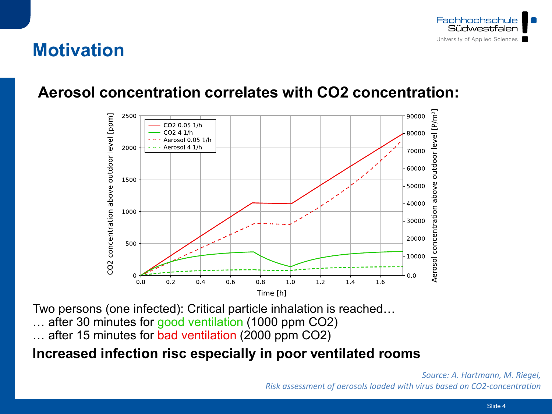

### **Motivation**

#### **Aerosol concentration correlates with CO2 concentration:**



Two persons (one infected): Critical particle inhalation is reached…

after 30 minutes for good ventilation (1000 ppm CO2)

… after 15 minutes for bad ventilation (2000 ppm CO2)

#### **Increased infection risc especially in poor ventilated rooms**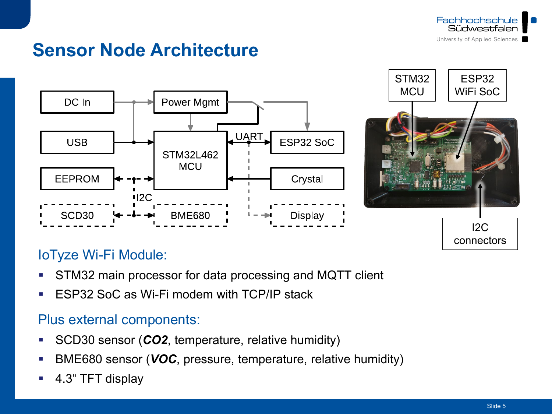

# **Sensor Node Architecture**



#### IoTyze Wi-Fi Module:

- **STM32 main processor for data processing and MQTT client**
- **ESP32 SoC as Wi-Fi modem with TCP/IP stack**

#### Plus external components:

- **SCD30 sensor (CO2, temperature, relative humidity)**
- **BME680 sensor (VOC, pressure, temperature, relative humidity)**
- 4.3" TFT display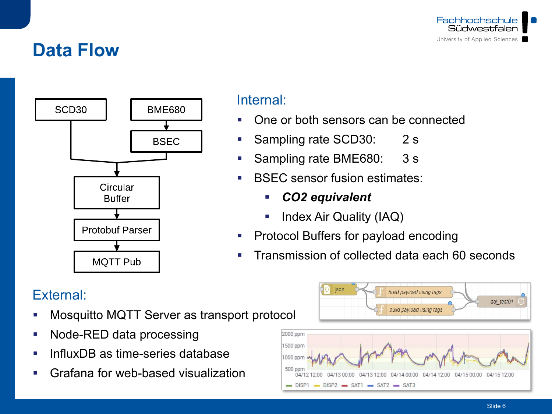

### **Data Flow**



#### Internal:

- One or both sensors can be connected
- Sampling rate SCD30: 2 s
- Sampling rate BME680: 3 s
- **BSEC sensor fusion estimates:** 
	- *CO2 equivalent*
	- Index Air Quality (IAQ)
- **Protocol Buffers for payload encoding**
- **Transmission of collected data each 60 seconds**

### External:

- Mosquitto MQTT Server as transport protocol
- Node-RED data processing
- InfluxDB as time-series database
- Grafana for web-based visualization

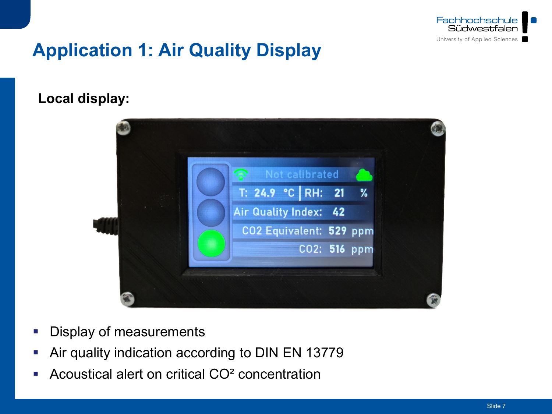

# **Application 1: Air Quality Display**

#### **Local display:**



- **Display of measurements**
- Air quality indication according to DIN EN 13779
- Acoustical alert on critical CO² concentration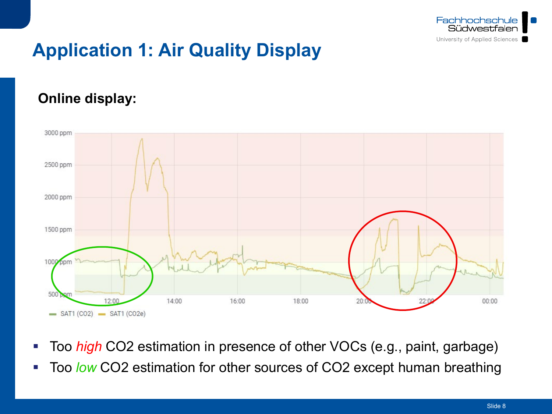

# **Application 1: Air Quality Display**

#### **Online display:**



- Too *high* CO2 estimation in presence of other VOCs (e.g., paint, garbage)
- Too *low* CO2 estimation for other sources of CO2 except human breathing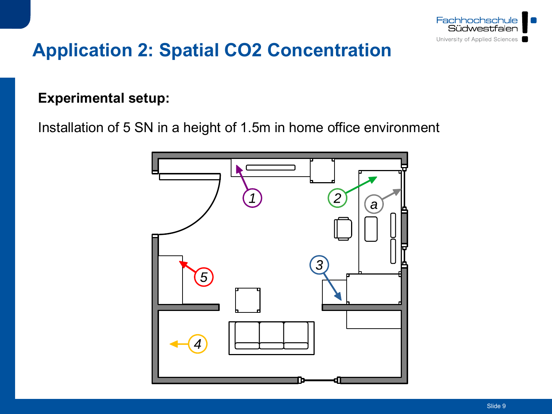

#### **Experimental setup:**

Installation of 5 SN in a height of 1.5m in home office environment

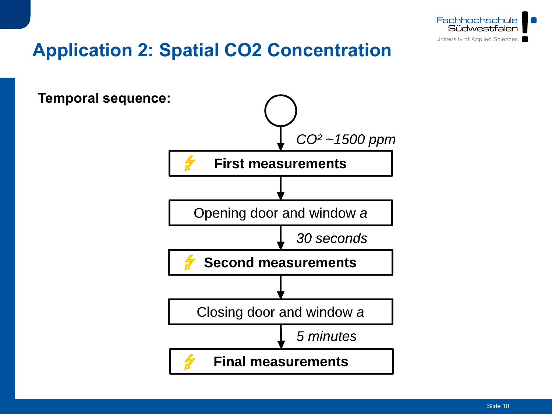

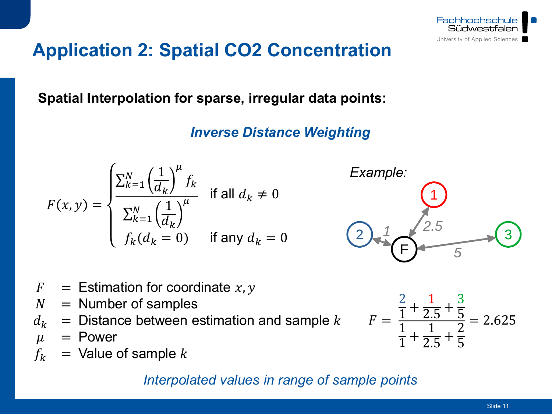

**Spatial Interpolation for sparse, irregular data points:**

*Inverse Distance Weighting*

$$
F(x,y) = \begin{cases} \frac{\sum_{k=1}^{N} \left(\frac{1}{d_k}\right)^{\mu} f_k}{\sum_{k=1}^{N} \left(\frac{1}{d_k}\right)^{\mu}} & \text{if all } d_k \neq 0\\ f_k(d_k = 0) & \text{if any } d_k = 0 \end{cases}
$$



- $F =$  Estimation for coordinate x, y
- $N =$  Number of samples
- $d_k$  = Distance between estimation and sample k  $\mu$  = Power
- 
- $\mu$  = Power<br> $f_k$  = Value of  $=$  Value of sample  $k$

#### *Interpolated values in range of sample points*

$$
F = \frac{\frac{2}{1} + \frac{1}{2.5} + \frac{3}{5}}{\frac{1}{1} + \frac{1}{2.5} + \frac{2}{5}} = 2.625
$$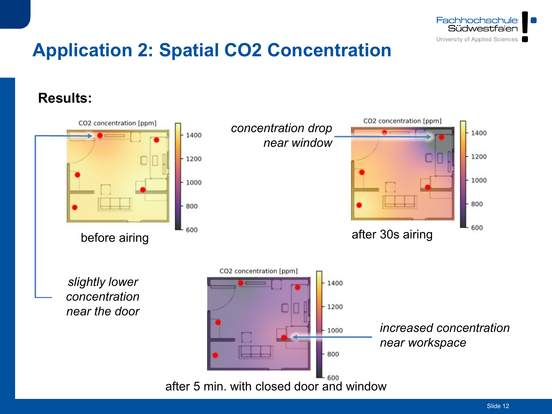

**Results:**